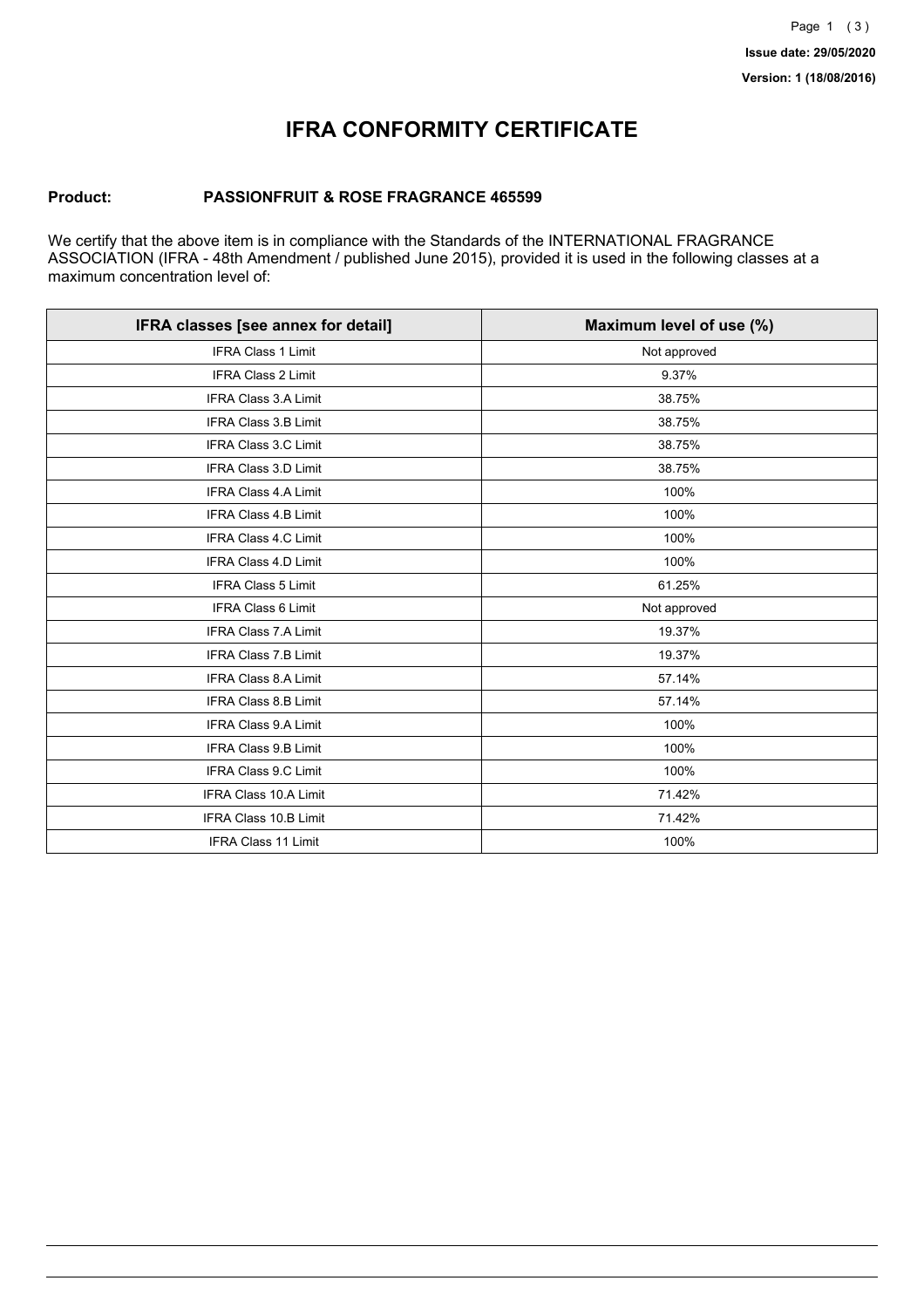## **IFRA CONFORMITY CERTIFICATE**

### **Product: PASSIONFRUIT & ROSE FRAGRANCE 465599**

We certify that the above item is in compliance with the Standards of the INTERNATIONAL FRAGRANCE ASSOCIATION (IFRA - 48th Amendment / published June 2015), provided it is used in the following classes at a maximum concentration level of:

| IFRA classes [see annex for detail] | Maximum level of use (%) |
|-------------------------------------|--------------------------|
| <b>IFRA Class 1 Limit</b>           | Not approved             |
| <b>IFRA Class 2 Limit</b>           | 9.37%                    |
| <b>IFRA Class 3.A Limit</b>         | 38.75%                   |
| <b>IFRA Class 3.B Limit</b>         | 38.75%                   |
| IFRA Class 3.C Limit                | 38.75%                   |
| <b>IFRA Class 3.D Limit</b>         | 38.75%                   |
| <b>IFRA Class 4.A Limit</b>         | 100%                     |
| <b>IFRA Class 4.B Limit</b>         | 100%                     |
| IFRA Class 4.C Limit                | 100%                     |
| <b>IFRA Class 4.D Limit</b>         | 100%                     |
| <b>IFRA Class 5 Limit</b>           | 61.25%                   |
| IFRA Class 6 Limit                  | Not approved             |
| <b>IFRA Class 7.A Limit</b>         | 19.37%                   |
| <b>IFRA Class 7.B Limit</b>         | 19.37%                   |
| <b>IFRA Class 8.A Limit</b>         | 57.14%                   |
| <b>IFRA Class 8.B Limit</b>         | 57.14%                   |
| <b>IFRA Class 9.A Limit</b>         | 100%                     |
| <b>IFRA Class 9.B Limit</b>         | 100%                     |
| IFRA Class 9.C Limit                | 100%                     |
| IFRA Class 10.A Limit               | 71.42%                   |
| <b>IFRA Class 10.B Limit</b>        | 71.42%                   |
| IFRA Class 11 Limit                 | 100%                     |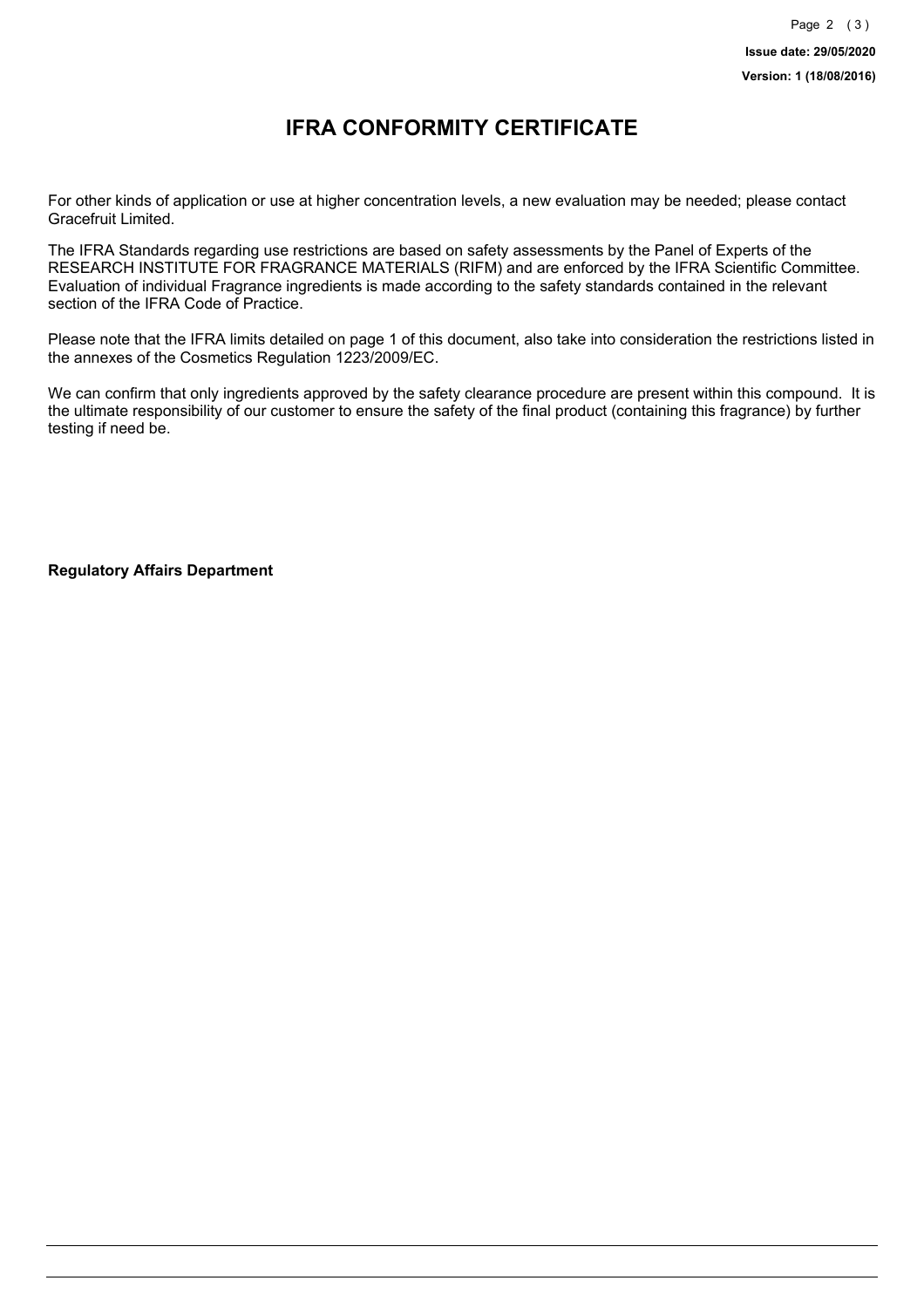### **IFRA CONFORMITY CERTIFICATE**

For other kinds of application or use at higher concentration levels, a new evaluation may be needed; please contact Gracefruit Limited.

The IFRA Standards regarding use restrictions are based on safety assessments by the Panel of Experts of the RESEARCH INSTITUTE FOR FRAGRANCE MATERIALS (RIFM) and are enforced by the IFRA Scientific Committee. Evaluation of individual Fragrance ingredients is made according to the safety standards contained in the relevant section of the IFRA Code of Practice.

Please note that the IFRA limits detailed on page 1 of this document, also take into consideration the restrictions listed in the annexes of the Cosmetics Regulation 1223/2009/EC.

We can confirm that only ingredients approved by the safety clearance procedure are present within this compound. It is the ultimate responsibility of our customer to ensure the safety of the final product (containing this fragrance) by further testing if need be.

**Regulatory Affairs Department**